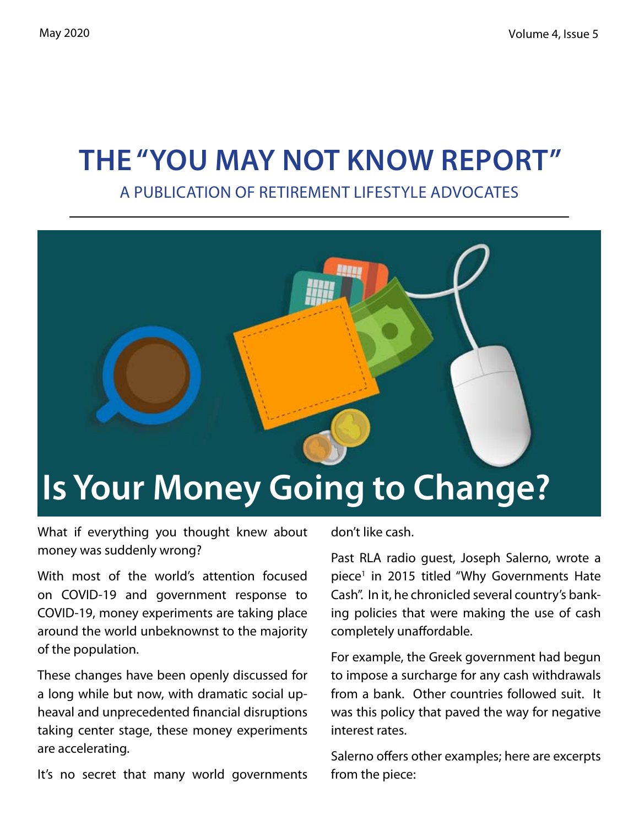# **The "You May Not Know Report"**

A Publication of Retirement Lifestyle Advocates



What if everything you thought knew about money was suddenly wrong?

With most of the world's attention focused on COVID-19 and government response to COVID-19, money experiments are taking place around the world unbeknownst to the majority of the population.

These changes have been openly discussed for a long while but now, with dramatic social upheaval and unprecedented financial disruptions taking center stage, these money experiments are accelerating.

It's no secret that many world governments

don't like cash.

Past RLA radio guest, Joseph Salerno, wrote a piece<sup>1</sup> in 2015 titled "Why Governments Hate Cash". In it, he chronicled several country's banking policies that were making the use of cash completely unaffordable.

For example, the Greek government had begun to impose a surcharge for any cash withdrawals from a bank. Other countries followed suit. It was this policy that paved the way for negative interest rates.

Salerno offers other examples; here are excerpts from the piece: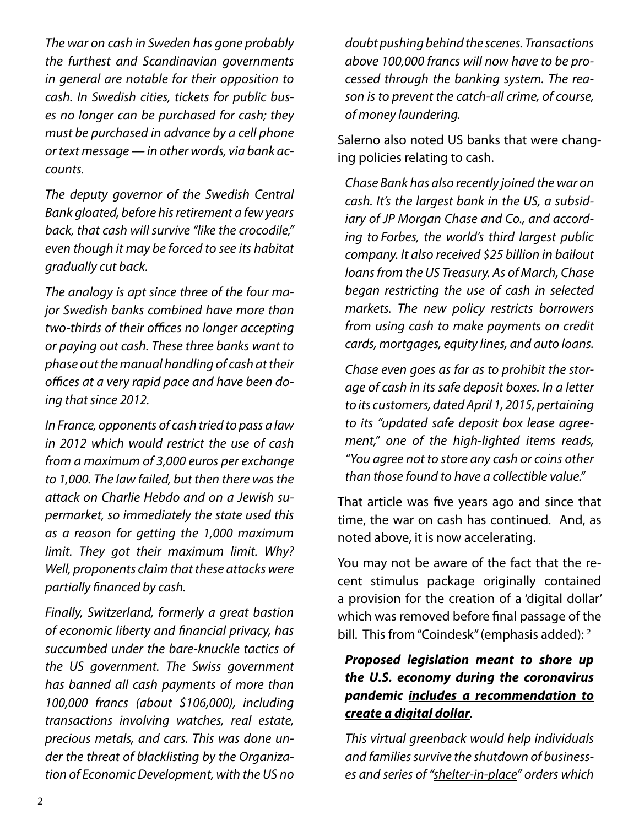*The war on cash in Sweden has gone probably the furthest and Scandinavian governments in general are notable for their opposition to cash. In Swedish cities, tickets for public buses no longer can be purchased for cash; they must be purchased in advance by a cell phone or text message — in other words, via bank accounts.*

*The deputy governor of the Swedish Central Bank gloated, before his retirement a few years back, that cash will survive "like the crocodile," even though it may be forced to see its habitat gradually cut back.*

*The analogy is apt since three of the four major Swedish banks combined have more than two-thirds of their offices no longer accepting or paying out cash. These three banks want to phase out the manual handling of cash at their offices at a very rapid pace and have been doing that since 2012.*

*In France, opponents of cash tried to pass a law in 2012 which would restrict the use of cash from a maximum of 3,000 euros per exchange to 1,000. The law failed, but then there was the attack on Charlie Hebdo and on a Jewish supermarket, so immediately the state used this as a reason for getting the 1,000 maximum limit. They got their maximum limit. Why? Well, proponents claim that these attacks were partially financed by cash.*

*Finally, Switzerland, formerly a great bastion of economic liberty and financial privacy, has succumbed under the bare-knuckle tactics of the US government. The Swiss government has banned all cash payments of more than 100,000 francs (about \$106,000), including transactions involving watches, real estate, precious metals, and cars. This was done under the threat of blacklisting by the Organization of Economic Development, with the US no* 

*doubt pushing behind the scenes. Transactions above 100,000 francs will now have to be processed through the banking system. The reason is to prevent the catch-all crime, of course, of money laundering.*

Salerno also noted US banks that were changing policies relating to cash.

*Chase Bank has also recently joined the war on cash. It's the largest bank in the US, a subsidiary of JP Morgan Chase and Co., and according to Forbes, the world's third largest public company. It also received \$25 billion in bailout loans from the US Treasury. As of March, Chase began restricting the use of cash in selected markets. The new policy restricts borrowers from using cash to make payments on credit cards, mortgages, equity lines, and auto loans.*

*Chase even goes as far as to prohibit the storage of cash in its safe deposit boxes. In a letter to its customers, dated April 1, 2015, pertaining to its "updated safe deposit box lease agreement," one of the high-lighted items reads, "You agree not to store any cash or coins other than those found to have a collectible value."* 

That article was five years ago and since that time, the war on cash has continued. And, as noted above, it is now accelerating.

You may not be aware of the fact that the recent stimulus package originally contained a provision for the creation of a 'digital dollar' which was removed before final passage of the bill. This from "Coindesk" (emphasis added):  $2^{\circ}$ 

#### *Proposed legislation meant to shore up the U.S. economy during the coronavirus pandemic includes a recommendation to create a digital dollar.*

*This virtual greenback would help individuals and families survive the shutdown of businesses and series of "shelter-in-place" orders which*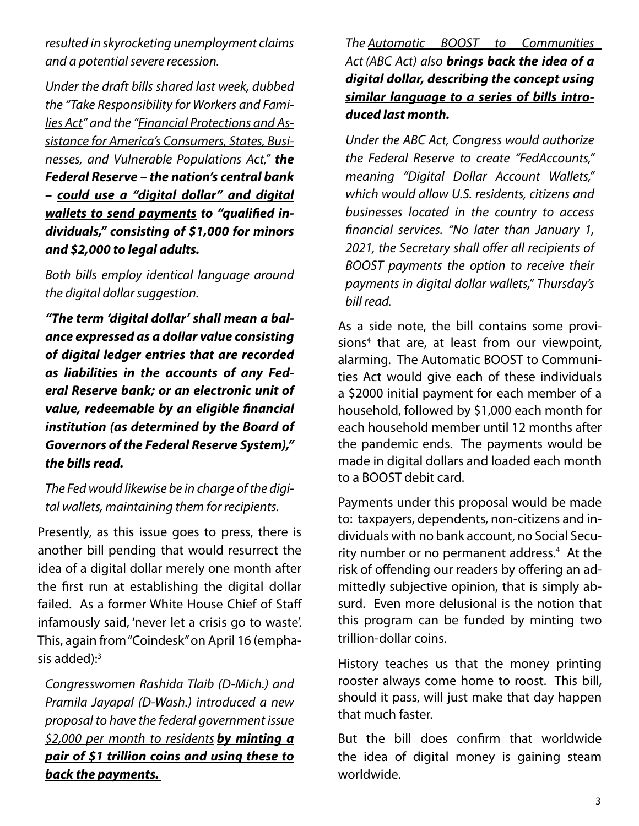*resulted in skyrocketing unemployment claims and a potential severe recession.*

*Under the draft bills shared last week, dubbed the "Take Responsibility for Workers and Families Act" and the "Financial Protections and Assistance for America's Consumers, States, Businesses, and Vulnerable Populations Act," the Federal Reserve – the nation's central bank – could use a "digital dollar" and digital wallets to send payments to "qualified individuals," consisting of \$1,000 for minors and \$2,000 to legal adults.*

*Both bills employ identical language around the digital dollar suggestion.*

*"The term 'digital dollar' shall mean a balance expressed as a dollar value consisting of digital ledger entries that are recorded as liabilities in the accounts of any Federal Reserve bank; or an electronic unit of value, redeemable by an eligible financial institution (as determined by the Board of Governors of the Federal Reserve System)," the bills read.*

*The Fed would likewise be in charge of the digital wallets, maintaining them for recipients.*

Presently, as this issue goes to press, there is another bill pending that would resurrect the idea of a digital dollar merely one month after the first run at establishing the digital dollar failed. As a former White House Chief of Staff infamously said, 'never let a crisis go to waste'. This, again from "Coindesk" on April 16 (emphasis added): $3$ 

*Congresswomen Rashida Tlaib (D-Mich.) and Pramila Jayapal (D-Wash.) introduced a new proposal to have the federal government issue \$2,000 per month to residents by minting a pair of \$1 trillion coins and using these to back the payments.* 

*The Automatic BOOST to Communities Act (ABC Act) also brings back the idea of a digital dollar, describing the concept using similar language to a series of bills introduced last month.*

*Under the ABC Act, Congress would authorize the Federal Reserve to create "FedAccounts," meaning "Digital Dollar Account Wallets," which would allow U.S. residents, citizens and businesses located in the country to access financial services. "No later than January 1, 2021, the Secretary shall offer all recipients of BOOST payments the option to receive their payments in digital dollar wallets," Thursday's bill read.*

As a side note, the bill contains some provisions<sup>4</sup> that are, at least from our viewpoint, alarming. The Automatic BOOST to Communities Act would give each of these individuals a \$2000 initial payment for each member of a household, followed by \$1,000 each month for each household member until 12 months after the pandemic ends. The payments would be made in digital dollars and loaded each month to a BOOST debit card.

Payments under this proposal would be made to: taxpayers, dependents, non-citizens and individuals with no bank account, no Social Security number or no permanent address.<sup>4</sup> At the risk of offending our readers by offering an admittedly subjective opinion, that is simply absurd. Even more delusional is the notion that this program can be funded by minting two trillion-dollar coins.

History teaches us that the money printing rooster always come home to roost. This bill, should it pass, will just make that day happen that much faster.

But the bill does confirm that worldwide the idea of digital money is gaining steam worldwide.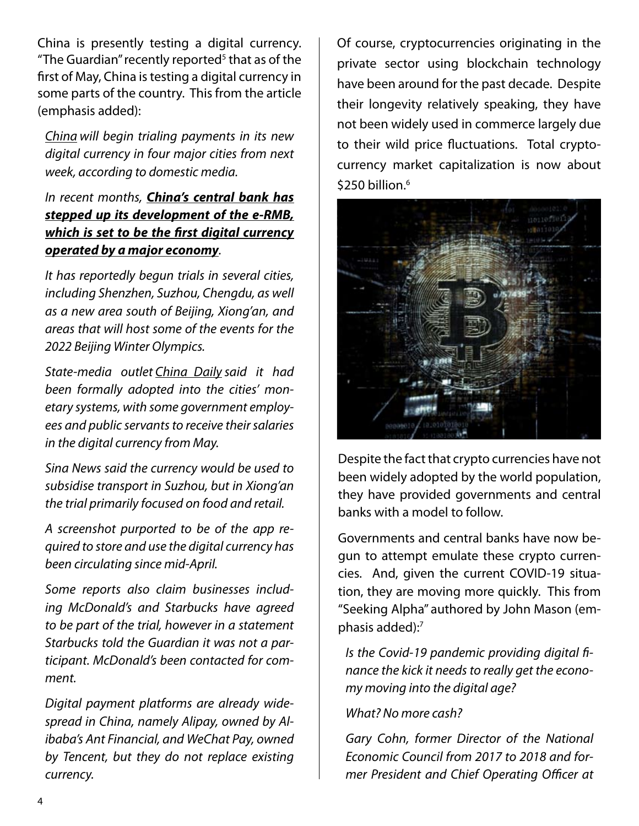China is presently testing a digital currency. "The Guardian" recently reported<sup>5</sup> that as of the first of May, China is testing a digital currency in some parts of the country. This from the article (emphasis added):

*China will begin trialing payments in its new digital currency in four major cities from next week, according to domestic media.*

#### *In recent months, China's central bank has stepped up its development of the e-RMB, which is set to be the first digital currency operated by a major economy.*

*It has reportedly begun trials in several cities, including Shenzhen, Suzhou, Chengdu, as well as a new area south of Beijing, Xiong'an, and areas that will host some of the events for the 2022 Beijing Winter Olympics.*

*State-media outlet China Daily said it had been formally adopted into the cities' monetary systems, with some government employees and public servants to receive their salaries in the digital currency from May.*

*Sina News said the currency would be used to subsidise transport in Suzhou, but in Xiong'an the trial primarily focused on food and retail.*

*A screenshot purported to be of the app required to store and use the digital currency has been circulating since mid-April.*

*Some reports also claim businesses including McDonald's and Starbucks have agreed to be part of the trial, however in a statement Starbucks told the Guardian it was not a participant. McDonald's been contacted for comment.*

*Digital payment platforms are already widespread in China, namely Alipay, owned by Alibaba's Ant Financial, and WeChat Pay, owned by Tencent, but they do not replace existing currency.*

Of course, cryptocurrencies originating in the private sector using blockchain technology have been around for the past decade. Despite their longevity relatively speaking, they have not been widely used in commerce largely due to their wild price fluctuations. Total cryptocurrency market capitalization is now about \$250 billion.<sup>6</sup>



Despite the fact that crypto currencies have not been widely adopted by the world population, they have provided governments and central banks with a model to follow.

Governments and central banks have now begun to attempt emulate these crypto currencies. And, given the current COVID-19 situation, they are moving more quickly. This from "Seeking Alpha" authored by John Mason (emphasis added):7

*Is the Covid-19 pandemic providing digital finance the kick it needs to really get the economy moving into the digital age?*

*What? No more cash?*

*Gary Cohn, former Director of the National Economic Council from 2017 to 2018 and former President and Chief Operating Officer at*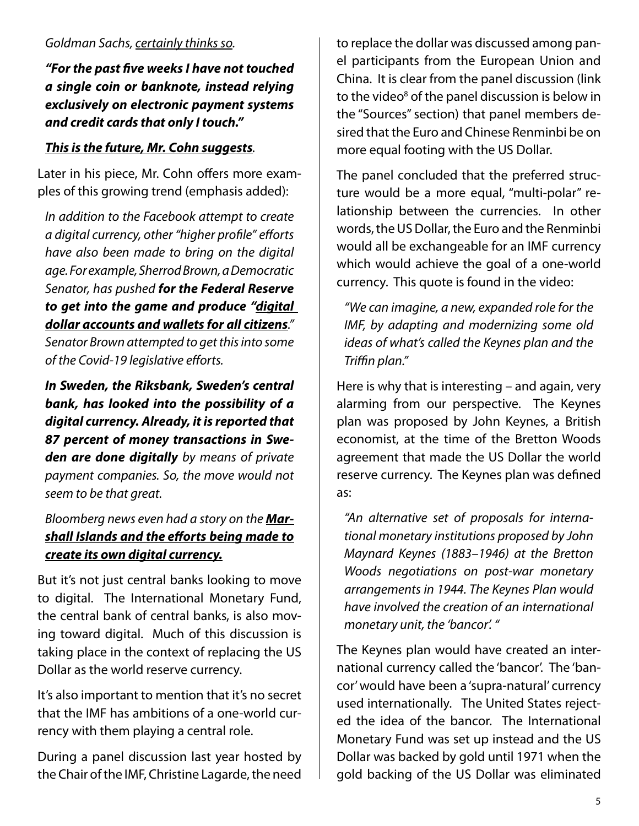*"For the past five weeks I have not touched a single coin or banknote, instead relying exclusively on electronic payment systems and credit cards that only I touch."*

#### *This is the future, Mr. Cohn suggests.*

Later in his piece, Mr. Cohn offers more examples of this growing trend (emphasis added):

*In addition to the Facebook attempt to create a digital currency, other "higher profile" efforts have also been made to bring on the digital age. For example, Sherrod Brown, a Democratic Senator, has pushed for the Federal Reserve to get into the game and produce "digital dollar accounts and wallets for all citizens." Senator Brown attempted to get this into some of the Covid-19 legislative efforts.*

*In Sweden, the Riksbank, Sweden's central bank, has looked into the possibility of a digital currency. Already, it is reported that 87 percent of money transactions in Sweden are done digitally by means of private payment companies. So, the move would not seem to be that great.*

*Bloomberg news even had a story on the Marshall Islands and the efforts being made to create its own digital currency.*

But it's not just central banks looking to move to digital. The International Monetary Fund, the central bank of central banks, is also moving toward digital. Much of this discussion is taking place in the context of replacing the US Dollar as the world reserve currency.

It's also important to mention that it's no secret that the IMF has ambitions of a one-world currency with them playing a central role.

During a panel discussion last year hosted by the Chair of the IMF, Christine Lagarde, the need to replace the dollar was discussed among panel participants from the European Union and China. It is clear from the panel discussion (link to the video<sup>8</sup> of the panel discussion is below in the "Sources" section) that panel members desired that the Euro and Chinese Renminbi be on more equal footing with the US Dollar.

The panel concluded that the preferred structure would be a more equal, "multi-polar" relationship between the currencies. In other words, the US Dollar, the Euro and the Renminbi would all be exchangeable for an IMF currency which would achieve the goal of a one-world currency. This quote is found in the video:

*"We can imagine, a new, expanded role for the IMF, by adapting and modernizing some old ideas of what's called the Keynes plan and the Triffin plan."*

Here is why that is interesting – and again, very alarming from our perspective. The Keynes plan was proposed by John Keynes, a British economist, at the time of the Bretton Woods agreement that made the US Dollar the world reserve currency. The Keynes plan was defined as:

*"An alternative set of proposals for international monetary institutions proposed by John Maynard Keynes (1883–1946) at the Bretton Woods negotiations on post-war monetary arrangements in 1944. The Keynes Plan would have involved the creation of an international monetary unit, the 'bancor'. "*

The Keynes plan would have created an international currency called the 'bancor'. The 'bancor' would have been a 'supra-natural' currency used internationally. The United States rejected the idea of the bancor. The International Monetary Fund was set up instead and the US Dollar was backed by gold until 1971 when the gold backing of the US Dollar was eliminated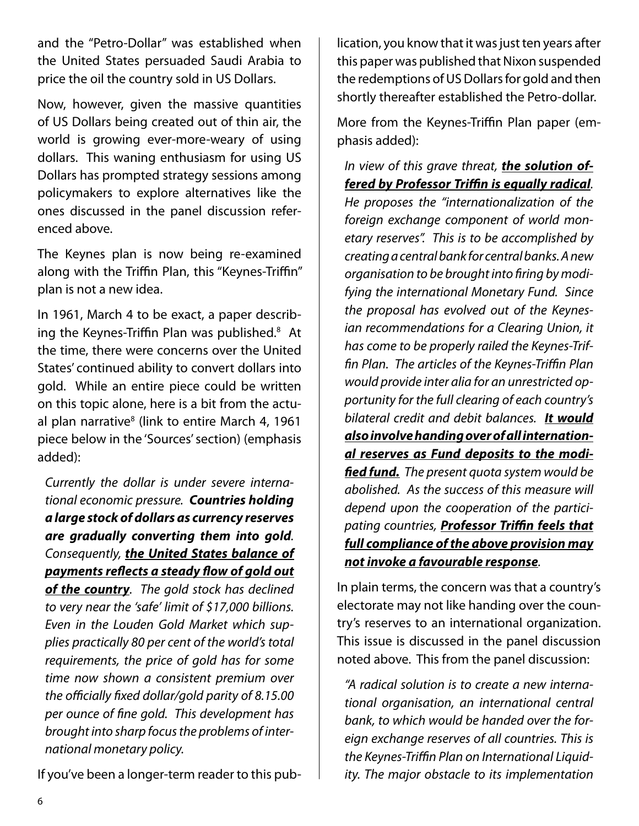and the "Petro-Dollar" was established when the United States persuaded Saudi Arabia to price the oil the country sold in US Dollars.

Now, however, given the massive quantities of US Dollars being created out of thin air, the world is growing ever-more-weary of using dollars. This waning enthusiasm for using US Dollars has prompted strategy sessions among policymakers to explore alternatives like the ones discussed in the panel discussion referenced above.

The Keynes plan is now being re-examined along with the Triffin Plan, this "Keynes-Triffin" plan is not a new idea.

In 1961, March 4 to be exact, a paper describing the Keynes-Triffin Plan was published.<sup>8</sup> At the time, there were concerns over the United States' continued ability to convert dollars into gold. While an entire piece could be written on this topic alone, here is a bit from the actual plan narrative<sup>8</sup> (link to entire March 4, 1961 piece below in the 'Sources' section) (emphasis added):

*Currently the dollar is under severe international economic pressure. Countries holding a large stock of dollars as currency reserves are gradually converting them into gold. Consequently, the United States balance of payments reflects a steady flow of gold out of the country. The gold stock has declined to very near the 'safe' limit of \$17,000 billions. Even in the Louden Gold Market which supplies practically 80 per cent of the world's total requirements, the price of gold has for some time now shown a consistent premium over the officially fixed dollar/gold parity of 8.15.00 per ounce of fine gold. This development has brought into sharp focus the problems of international monetary policy.* 

If you've been a longer-term reader to this pub-

lication, you know that it was just ten years after this paper was published that Nixon suspended the redemptions of US Dollars for gold and then shortly thereafter established the Petro-dollar.

More from the Keynes-Triffin Plan paper (emphasis added):

*In view of this grave threat, the solution offered by Professor Triffin is equally radical.* 

*He proposes the "internationalization of the foreign exchange component of world monetary reserves". This is to be accomplished by creating a central bank for central banks. A new organisation to be brought into firing by modifying the international Monetary Fund. Since the proposal has evolved out of the Keynesian recommendations for a Clearing Union, it has come to be properly railed the Keynes-Triffin Plan. The articles of the Keynes-Triffin Plan would provide inter alia for an unrestricted opportunity for the full clearing of each country's bilateral credit and debit balances. It would also involve handing over of all international reserves as Fund deposits to the modified fund. The present quota system would be abolished. As the success of this measure will depend upon the cooperation of the participating countries, Professor Triffin feels that full compliance of the above provision may not invoke a favourable response.*

In plain terms, the concern was that a country's electorate may not like handing over the country's reserves to an international organization. This issue is discussed in the panel discussion noted above. This from the panel discussion:

*"A radical solution is to create a new international organisation, an international central bank, to which would be handed over the foreign exchange reserves of all countries. This is the Keynes-Triffin Plan on International Liquidity. The major obstacle to its implementation*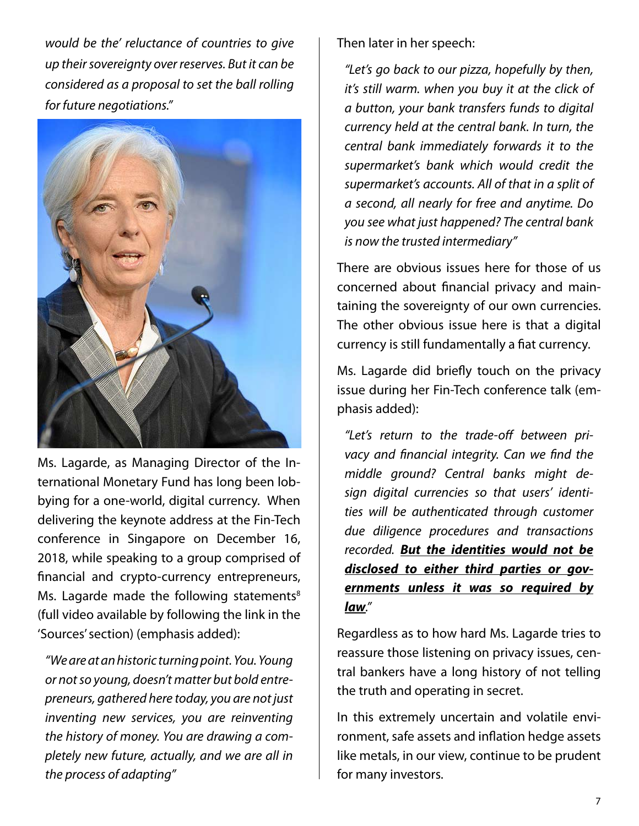*would be the' reluctance of countries to give up their sovereignty over reserves. But it can be considered as a proposal to set the ball rolling for future negotiations."*



Ms. Lagarde, as Managing Director of the International Monetary Fund has long been lobbying for a one-world, digital currency. When delivering the keynote address at the Fin-Tech conference in Singapore on December 16, 2018, while speaking to a group comprised of financial and crypto-currency entrepreneurs, Ms. Lagarde made the following statements $8$ (full video available by following the link in the 'Sources' section) (emphasis added):

*"We are at an historic turning point. You. Young or not so young, doesn't matter but bold entrepreneurs, gathered here today, you are not just inventing new services, you are reinventing the history of money. You are drawing a completely new future, actually, and we are all in the process of adapting"*

Then later in her speech:

*"Let's go back to our pizza, hopefully by then, it's still warm. when you buy it at the click of a button, your bank transfers funds to digital currency held at the central bank. In turn, the central bank immediately forwards it to the supermarket's bank which would credit the supermarket's accounts. All of that in a split of a second, all nearly for free and anytime. Do you see what just happened? The central bank is now the trusted intermediary"*

There are obvious issues here for those of us concerned about financial privacy and maintaining the sovereignty of our own currencies. The other obvious issue here is that a digital currency is still fundamentally a fiat currency.

Ms. Lagarde did briefly touch on the privacy issue during her Fin-Tech conference talk (emphasis added):

*"Let's return to the trade-off between privacy and financial integrity. Can we find the middle ground? Central banks might design digital currencies so that users' identities will be authenticated through customer due diligence procedures and transactions recorded. But the identities would not be disclosed to either third parties or governments unless it was so required by law."*

Regardless as to how hard Ms. Lagarde tries to reassure those listening on privacy issues, central bankers have a long history of not telling the truth and operating in secret.

In this extremely uncertain and volatile environment, safe assets and inflation hedge assets like metals, in our view, continue to be prudent for many investors.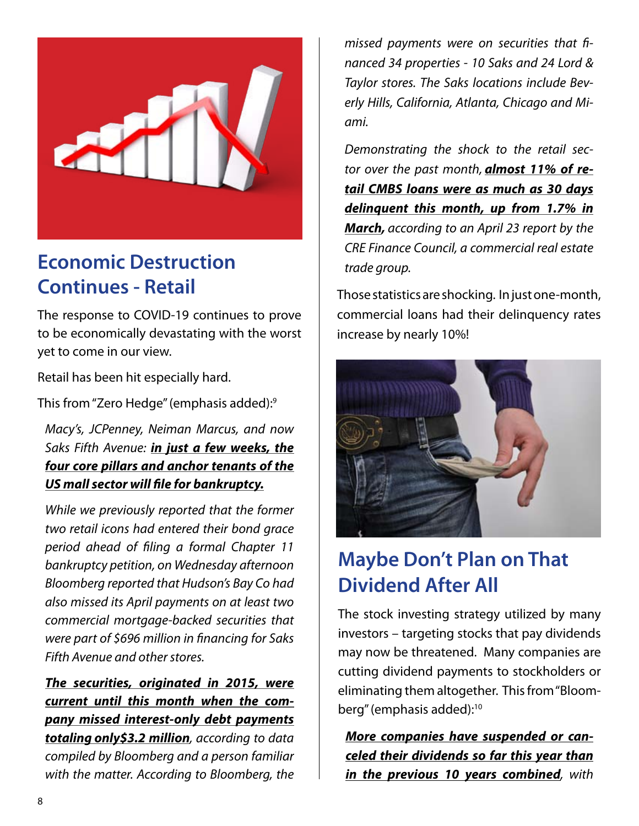

## **Economic Destruction Continues - Retail**

The response to COVID-19 continues to prove to be economically devastating with the worst yet to come in our view.

Retail has been hit especially hard.

This from "Zero Hedge" (emphasis added):9

*Macy's, JCPenney, Neiman Marcus, and now Saks Fifth Avenue: in just a few weeks, the four core pillars and anchor tenants of the US mall sector will file for bankruptcy.*

*While we previously reported that the former two retail icons had entered their bond grace period ahead of filing a formal Chapter 11 bankruptcy petition, on Wednesday afternoon Bloomberg reported that Hudson's Bay Co had also missed its April payments on at least two commercial mortgage-backed securities that were part of \$696 million in financing for Saks Fifth Avenue and other stores.*

*The securities, originated in 2015, were current until this month when the company missed interest-only debt payments totaling only\$3.2 million, according to data compiled by Bloomberg and a person familiar with the matter. According to Bloomberg, the* 

*missed payments were on securities that financed 34 properties - 10 Saks and 24 Lord & Taylor stores. The Saks locations include Beverly Hills, California, Atlanta, Chicago and Miami.*

*Demonstrating the shock to the retail sector over the past month, almost 11% of retail CMBS loans were as much as 30 days delinquent this month, up from 1.7% in March, according to an April 23 report by the CRE Finance Council, a commercial real estate trade group.*

Those statistics are shocking. In just one-month, commercial loans had their delinquency rates increase by nearly 10%!



# **Maybe Don't Plan on That Dividend After All**

The stock investing strategy utilized by many investors – targeting stocks that pay dividends may now be threatened. Many companies are cutting dividend payments to stockholders or eliminating them altogether. This from "Bloomberg" (emphasis added):10

*More companies have suspended or canceled their dividends so far this year than in the previous 10 years combined, with*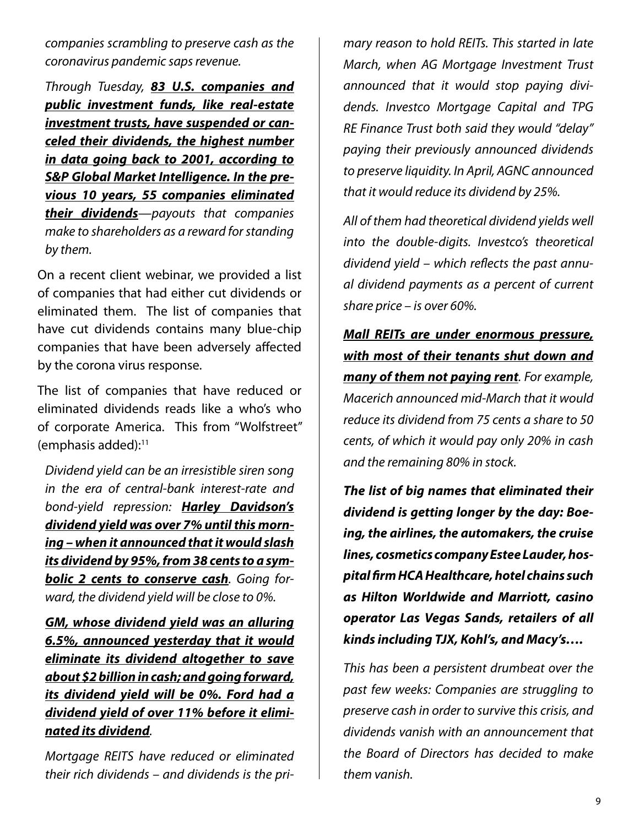*companies scrambling to preserve cash as the coronavirus pandemic saps revenue.*

*Through Tuesday, 83 U.S. companies and public investment funds, like real-estate investment trusts, have suspended or canceled their dividends, the highest number in data going back to 2001, according to S&P Global Market Intelligence. In the previous 10 years, 55 companies eliminated their dividends—payouts that companies make to shareholders as a reward for standing by them.*

On a recent client webinar, we provided a list of companies that had either cut dividends or eliminated them. The list of companies that have cut dividends contains many blue-chip companies that have been adversely affected by the corona virus response.

The list of companies that have reduced or eliminated dividends reads like a who's who of corporate America. This from "Wolfstreet" (emphasis added): $11$ 

*Dividend yield can be an irresistible siren song in the era of central-bank interest-rate and bond-yield repression: Harley Davidson's dividend yield was over 7% until this morning – when it announced that it would slash its dividend by 95%, from 38 cents to a symbolic 2 cents to conserve cash. Going forward, the dividend yield will be close to 0%.*

*GM, whose dividend yield was an alluring 6.5%, announced yesterday that it would eliminate its dividend altogether to save about \$2 billion in cash; and going forward, its dividend yield will be 0%. Ford had a dividend yield of over 11% before it eliminated its dividend.*

*Mortgage REITS have reduced or eliminated their rich dividends – and dividends is the pri-* *mary reason to hold REITs. This started in late March, when AG Mortgage Investment Trust announced that it would stop paying dividends. Investco Mortgage Capital and TPG RE Finance Trust both said they would "delay" paying their previously announced dividends to preserve liquidity. In April, AGNC announced that it would reduce its dividend by 25%.*

*All of them had theoretical dividend yields well into the double-digits. Investco's theoretical dividend yield – which reflects the past annual dividend payments as a percent of current share price – is over 60%.*

*Mall REITs are under enormous pressure, with most of their tenants shut down and many of them not paying rent. For example, Macerich announced mid-March that it would reduce its dividend from 75 cents a share to 50 cents, of which it would pay only 20% in cash and the remaining 80% in stock.*

*The list of big names that eliminated their dividend is getting longer by the day: Boeing, the airlines, the automakers, the cruise lines, cosmetics company Estee Lauder, hospital firm HCA Healthcare, hotel chains such as Hilton Worldwide and Marriott, casino operator Las Vegas Sands, retailers of all kinds including TJX, Kohl's, and Macy's….*

*This has been a persistent drumbeat over the past few weeks: Companies are struggling to preserve cash in order to survive this crisis, and dividends vanish with an announcement that the Board of Directors has decided to make them vanish.*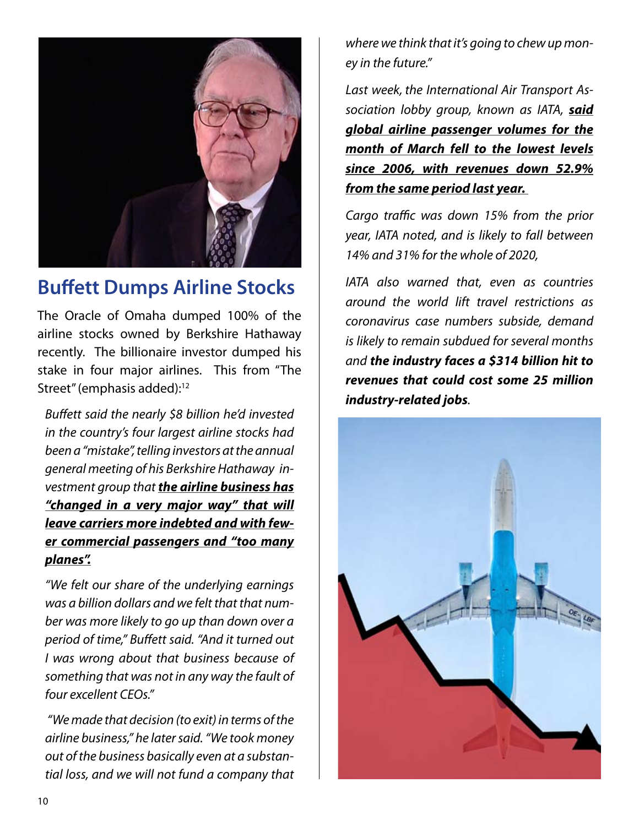

## **Buffett Dumps Airline Stocks**

The Oracle of Omaha dumped 100% of the airline stocks owned by Berkshire Hathaway recently. The billionaire investor dumped his stake in four major airlines. This from "The Street" (emphasis added):<sup>12</sup>

*Buffett said the nearly \$8 billion he'd invested in the country's four largest airline stocks had been a "mistake", telling investors at the annual general meeting of his Berkshire Hathaway investment group that the airline business has "changed in a very major way" that will leave carriers more indebted and with fewer commercial passengers and "too many planes".*

*"We felt our share of the underlying earnings was a billion dollars and we felt that that number was more likely to go up than down over a period of time," Buffett said. "And it turned out I was wrong about that business because of something that was not in any way the fault of four excellent CEOs."*

*"We made that decision (to exit) in terms of the airline business," he later said. "We took money out of the business basically even at a substantial loss, and we will not fund a company that* 

*where we think that it's going to chew up money in the future."*

*Last week, the International Air Transport Association lobby group, known as IATA, said global airline passenger volumes for the month of March fell to the lowest levels since 2006, with revenues down 52.9% from the same period last year.*

*Cargo traffic was down 15% from the prior year, IATA noted, and is likely to fall between 14% and 31% for the whole of 2020,*

*IATA also warned that, even as countries around the world lift travel restrictions as coronavirus case numbers subside, demand is likely to remain subdued for several months and the industry faces a \$314 billion hit to revenues that could cost some 25 million industry-related jobs.*

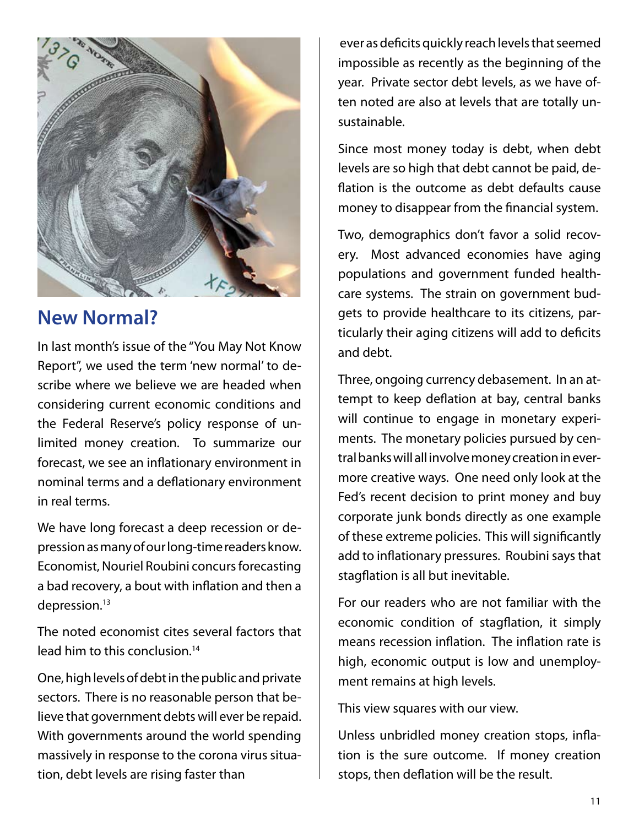

### **New Normal?**

In last month's issue of the "You May Not Know Report", we used the term 'new normal' to describe where we believe we are headed when considering current economic conditions and the Federal Reserve's policy response of unlimited money creation. To summarize our forecast, we see an inflationary environment in nominal terms and a deflationary environment in real terms.

We have long forecast a deep recession or depression as many of our long-time readers know. Economist, Nouriel Roubini concurs forecasting a bad recovery, a bout with inflation and then a depression.<sup>13</sup>

The noted economist cites several factors that lead him to this conclusion.14

One, high levels of debt in the public and private sectors. There is no reasonable person that believe that government debts will ever be repaid. With governments around the world spending massively in response to the corona virus situation, debt levels are rising faster than

 ever as deficits quickly reach levels that seemed impossible as recently as the beginning of the year. Private sector debt levels, as we have often noted are also at levels that are totally unsustainable.

Since most money today is debt, when debt levels are so high that debt cannot be paid, deflation is the outcome as debt defaults cause money to disappear from the financial system.

Two, demographics don't favor a solid recovery. Most advanced economies have aging populations and government funded healthcare systems. The strain on government budgets to provide healthcare to its citizens, particularly their aging citizens will add to deficits and debt.

Three, ongoing currency debasement. In an attempt to keep deflation at bay, central banks will continue to engage in monetary experiments. The monetary policies pursued by central banks will all involve money creation in evermore creative ways. One need only look at the Fed's recent decision to print money and buy corporate junk bonds directly as one example of these extreme policies. This will significantly add to inflationary pressures. Roubini says that stagflation is all but inevitable.

For our readers who are not familiar with the economic condition of stagflation, it simply means recession inflation. The inflation rate is high, economic output is low and unemployment remains at high levels.

This view squares with our view.

Unless unbridled money creation stops, inflation is the sure outcome. If money creation stops, then deflation will be the result.